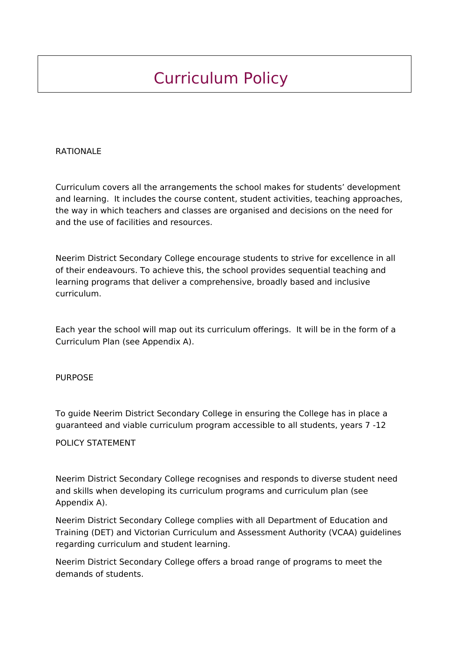## Curriculum Policy

## RATIONALE

Curriculum covers all the arrangements the school makes for students' development and learning. It includes the course content, student activities, teaching approaches, the way in which teachers and classes are organised and decisions on the need for and the use of facilities and resources.

Neerim District Secondary College encourage students to strive for excellence in all of their endeavours. To achieve this, the school provides sequential teaching and learning programs that deliver a comprehensive, broadly based and inclusive curriculum.

Each year the school will map out its curriculum offerings. It will be in the form of a Curriculum Plan (see Appendix A).

## PURPOSE

To guide Neerim District Secondary College in ensuring the College has in place a guaranteed and viable curriculum program accessible to all students, years 7 -12

## POLICY STATEMENT

Neerim District Secondary College recognises and responds to diverse student need and skills when developing its curriculum programs and curriculum plan (see Appendix A).

Neerim District Secondary College complies with all Department of Education and Training (DET) and Victorian Curriculum and Assessment Authority (VCAA) guidelines regarding curriculum and student learning.

Neerim District Secondary College offers a broad range of programs to meet the demands of students.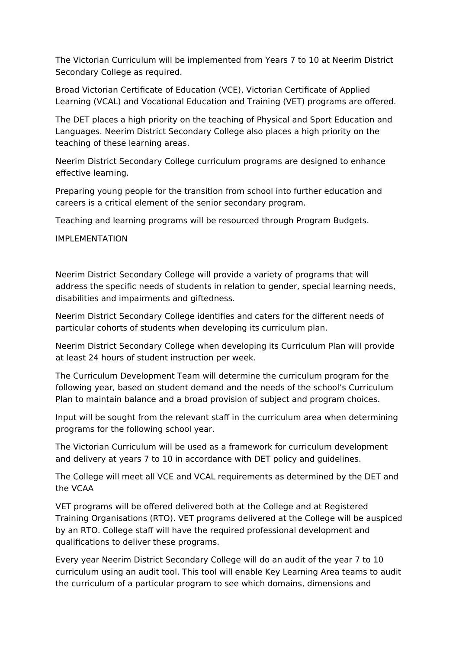The Victorian Curriculum will be implemented from Years 7 to 10 at Neerim District Secondary College as required.

Broad Victorian Certificate of Education (VCE), Victorian Certificate of Applied Learning (VCAL) and Vocational Education and Training (VET) programs are offered.

The DET places a high priority on the teaching of Physical and Sport Education and Languages. Neerim District Secondary College also places a high priority on the teaching of these learning areas.

Neerim District Secondary College curriculum programs are designed to enhance effective learning.

Preparing young people for the transition from school into further education and careers is a critical element of the senior secondary program.

Teaching and learning programs will be resourced through Program Budgets.

IMPLEMENTATION

Neerim District Secondary College will provide a variety of programs that will address the specific needs of students in relation to gender, special learning needs, disabilities and impairments and giftedness.

Neerim District Secondary College identifies and caters for the different needs of particular cohorts of students when developing its curriculum plan.

Neerim District Secondary College when developing its Curriculum Plan will provide at least 24 hours of student instruction per week.

The Curriculum Development Team will determine the curriculum program for the following year, based on student demand and the needs of the school's Curriculum Plan to maintain balance and a broad provision of subject and program choices.

Input will be sought from the relevant staff in the curriculum area when determining programs for the following school year.

The Victorian Curriculum will be used as a framework for curriculum development and delivery at years 7 to 10 in accordance with DET policy and guidelines.

The College will meet all VCE and VCAL requirements as determined by the DET and the VCAA

VET programs will be offered delivered both at the College and at Registered Training Organisations (RTO). VET programs delivered at the College will be auspiced by an RTO. College staff will have the required professional development and qualifications to deliver these programs.

Every year Neerim District Secondary College will do an audit of the year 7 to 10 curriculum using an audit tool. This tool will enable Key Learning Area teams to audit the curriculum of a particular program to see which domains, dimensions and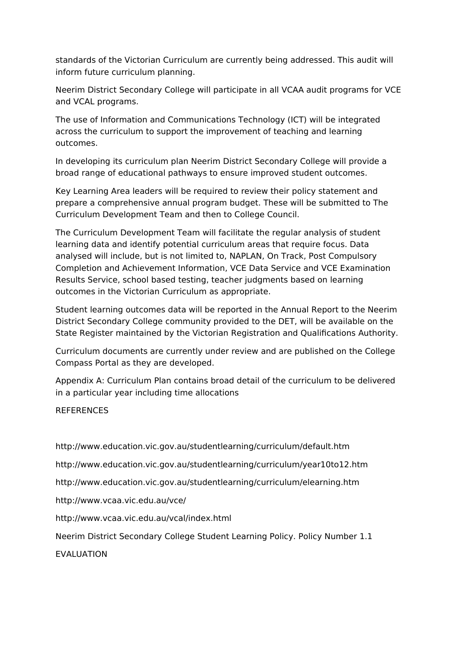standards of the Victorian Curriculum are currently being addressed. This audit will inform future curriculum planning.

Neerim District Secondary College will participate in all VCAA audit programs for VCE and VCAL programs.

The use of Information and Communications Technology (ICT) will be integrated across the curriculum to support the improvement of teaching and learning outcomes.

In developing its curriculum plan Neerim District Secondary College will provide a broad range of educational pathways to ensure improved student outcomes.

Key Learning Area leaders will be required to review their policy statement and prepare a comprehensive annual program budget. These will be submitted to The Curriculum Development Team and then to College Council.

The Curriculum Development Team will facilitate the regular analysis of student learning data and identify potential curriculum areas that require focus. Data analysed will include, but is not limited to, NAPLAN, On Track, Post Compulsory Completion and Achievement Information, VCE Data Service and VCE Examination Results Service, school based testing, teacher judgments based on learning outcomes in the Victorian Curriculum as appropriate.

Student learning outcomes data will be reported in the Annual Report to the Neerim District Secondary College community provided to the DET, will be available on the State Register maintained by the Victorian Registration and Qualifications Authority.

Curriculum documents are currently under review and are published on the College Compass Portal as they are developed.

Appendix A: Curriculum Plan contains broad detail of the curriculum to be delivered in a particular year including time allocations

**REFERENCES** 

http://www.education.vic.gov.au/studentlearning/curriculum/default.htm

http://www.education.vic.gov.au/studentlearning/curriculum/year10to12.htm

http://www.education.vic.gov.au/studentlearning/curriculum/elearning.htm

http://www.vcaa.vic.edu.au/vce/

http://www.vcaa.vic.edu.au/vcal/index.html

Neerim District Secondary College Student Learning Policy. Policy Number 1.1

EVALUATION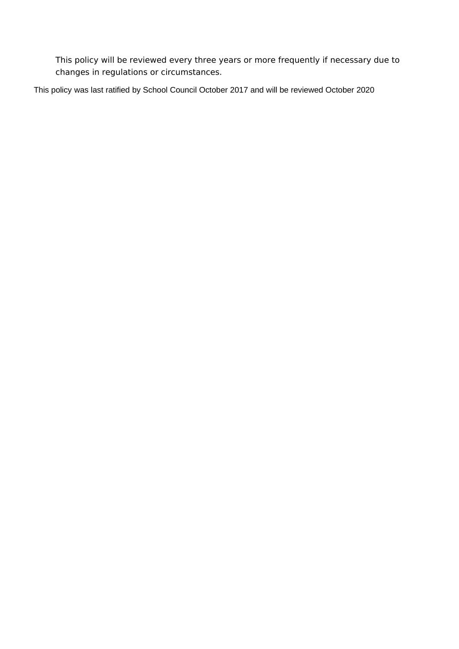This policy will be reviewed every three years or more frequently if necessary due to changes in regulations or circumstances.

This policy was last ratified by School Council October 2017 and will be reviewed October 2020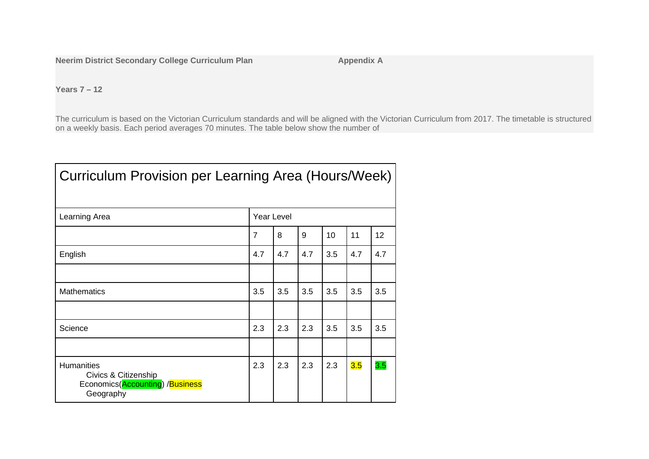**Neerim District Secondary College Curriculum Plan Appendix A** 

**Years 7 – 12**

The curriculum is based on the Victorian Curriculum standards and will be aligned with the Victorian Curriculum from 2017. The timetable is structured on a weekly basis. Each period averages 70 minutes. The table below show the number of

| Curriculum Provision per Learning Area (Hours/Week)                                       |                |     |     |     |     |     |  |  |  |  |
|-------------------------------------------------------------------------------------------|----------------|-----|-----|-----|-----|-----|--|--|--|--|
| Learning Area                                                                             | Year Level     |     |     |     |     |     |  |  |  |  |
|                                                                                           | $\overline{7}$ | 8   | 9   | 10  | 11  | 12  |  |  |  |  |
| English                                                                                   | 4.7            | 4.7 | 4.7 | 3.5 | 4.7 | 4.7 |  |  |  |  |
|                                                                                           |                |     |     |     |     |     |  |  |  |  |
| <b>Mathematics</b>                                                                        | 3.5            | 3.5 | 3.5 | 3.5 | 3.5 | 3.5 |  |  |  |  |
|                                                                                           |                |     |     |     |     |     |  |  |  |  |
| Science                                                                                   | 2.3            | 2.3 | 2.3 | 3.5 | 3.5 | 3.5 |  |  |  |  |
|                                                                                           |                |     |     |     |     |     |  |  |  |  |
| <b>Humanities</b><br>Civics & Citizenship<br>Economics(Accounting) /Business<br>Geography | 2.3            | 2.3 | 2.3 | 2.3 | 3.5 | 3.5 |  |  |  |  |